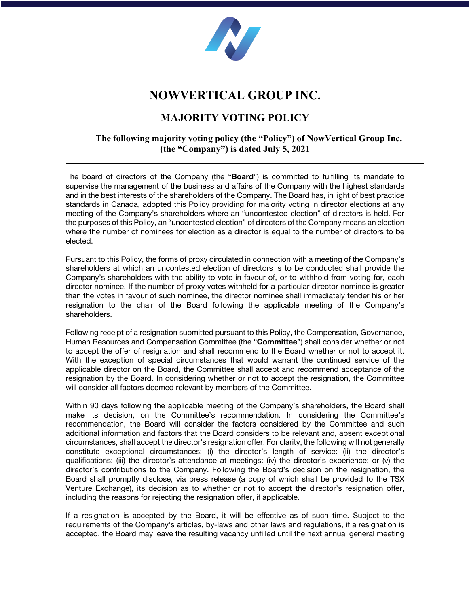

## **NOWVERTICAL GROUP INC.**

## **MAJORITY VOTING POLICY**

## **The following majority voting policy (the "Policy") of NowVertical Group Inc. (the "Company") is dated July 5, 2021**

The board of directors of the Company (the "**Board**") is committed to fulfilling its mandate to supervise the management of the business and affairs of the Company with the highest standards and in the best interests of the shareholders of the Company. The Board has, in light of best practice standards in Canada, adopted this Policy providing for majority voting in director elections at any meeting of the Company's shareholders where an "uncontested election" of directors is held. For the purposes of this Policy, an "uncontested election" of directors of the Company means an election where the number of nominees for election as a director is equal to the number of directors to be elected.

Pursuant to this Policy, the forms of proxy circulated in connection with a meeting of the Company's shareholders at which an uncontested election of directors is to be conducted shall provide the Company's shareholders with the ability to vote in favour of, or to withhold from voting for, each director nominee. If the number of proxy votes withheld for a particular director nominee is greater than the votes in favour of such nominee, the director nominee shall immediately tender his or her resignation to the chair of the Board following the applicable meeting of the Company's shareholders.

Following receipt of a resignation submitted pursuant to this Policy, the Compensation, Governance, Human Resources and Compensation Committee (the "**Committee**") shall consider whether or not to accept the offer of resignation and shall recommend to the Board whether or not to accept it. With the exception of special circumstances that would warrant the continued service of the applicable director on the Board, the Committee shall accept and recommend acceptance of the resignation by the Board. In considering whether or not to accept the resignation, the Committee will consider all factors deemed relevant by members of the Committee.

Within 90 days following the applicable meeting of the Company's shareholders, the Board shall make its decision, on the Committee's recommendation. In considering the Committee's recommendation, the Board will consider the factors considered by the Committee and such additional information and factors that the Board considers to be relevant and, absent exceptional circumstances, shall accept the director's resignation offer. For clarity, the following will not generally constitute exceptional circumstances: (i) the director's length of service: (ii) the director's qualifications: (iii) the director's attendance at meetings: (iv) the director's experience: or (v) the director's contributions to the Company. Following the Board's decision on the resignation, the Board shall promptly disclose, via press release (a copy of which shall be provided to the TSX Venture Exchange), its decision as to whether or not to accept the director's resignation offer, including the reasons for rejecting the resignation offer, if applicable.

If a resignation is accepted by the Board, it will be effective as of such time. Subject to the requirements of the Company's articles, by-laws and other laws and regulations, if a resignation is accepted, the Board may leave the resulting vacancy unfilled until the next annual general meeting